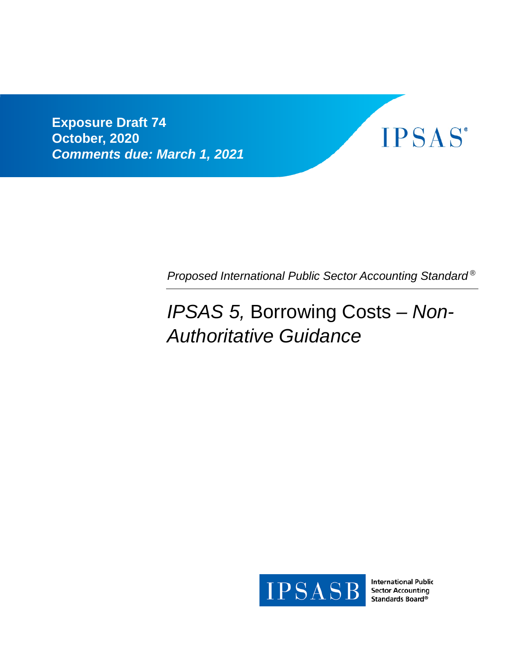**Exposure Draft 74 October, 2020** *Comments due: March 1, 2021*



*Proposed International Public Sector Accounting Standard ®*

# *IPSAS 5,* Borrowing Costs *– Non-Authoritative Guidance*



**International Public Sector Accounting** Standards Board®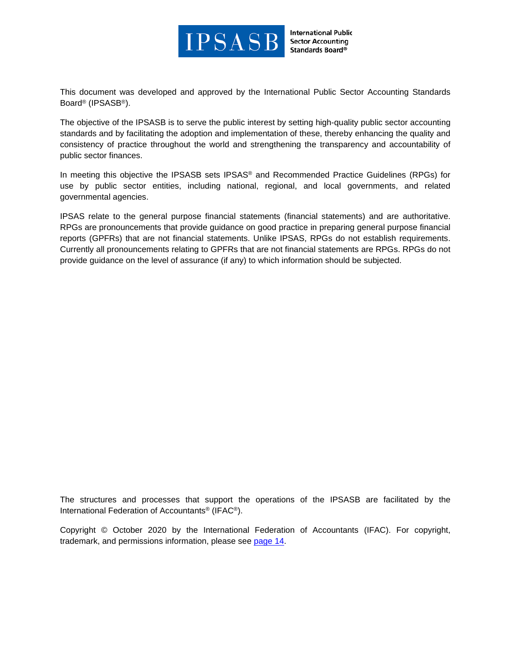

**International Public Sector Accounting** Standards Board®

This document was developed and approved by the International Public Sector Accounting Standards Board® (IPSASB®).

The objective of the IPSASB is to serve the public interest by setting high-quality public sector accounting standards and by facilitating the adoption and implementation of these, thereby enhancing the quality and consistency of practice throughout the world and strengthening the transparency and accountability of public sector finances.

In meeting this objective the IPSASB sets IPSAS® and Recommended Practice Guidelines (RPGs) for use by public sector entities, including national, regional, and local governments, and related governmental agencies.

IPSAS relate to the general purpose financial statements (financial statements) and are authoritative. RPGs are pronouncements that provide guidance on good practice in preparing general purpose financial reports (GPFRs) that are not financial statements. Unlike IPSAS, RPGs do not establish requirements. Currently all pronouncements relating to GPFRs that are not financial statements are RPGs. RPGs do not provide guidance on the level of assurance (if any) to which information should be subjected.

The structures and processes that support the operations of the IPSASB are facilitated by the International Federation of Accountants® (IFAC®).

Copyright © October 2020 by the International Federation of Accountants (IFAC). For copyright, trademark, and permissions information, please see [page 14.](#page-13-0)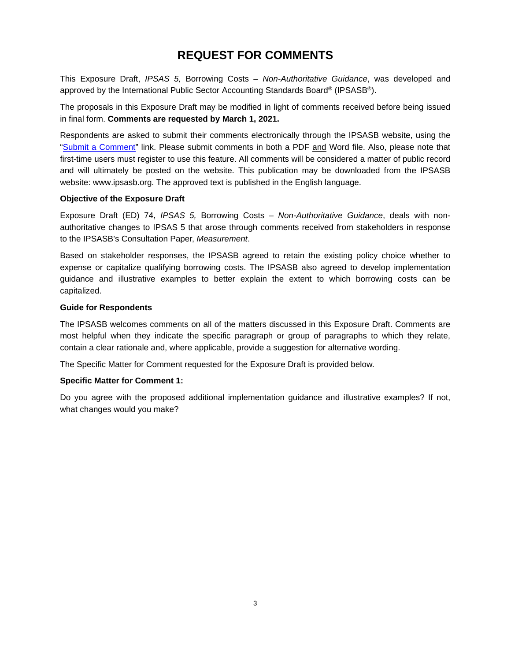# **REQUEST FOR COMMENTS**

This Exposure Draft, *IPSAS 5,* Borrowing Costs – *Non-Authoritative Guidance*, was developed and approved by the International Public Sector Accounting Standards Board® (IPSASB®).

The proposals in this Exposure Draft may be modified in light of comments received before being issued in final form. **Comments are requested by March 1, 2021.**

Respondents are asked to submit their comments electronically through the IPSASB website, using the ["Submit a Comment"](https://www.ipsasb.org/publications/exposure-draft-74-ipsas-5-borrowing-costs-non-authoritative-guidance) link. Please submit comments in both a PDF and Word file. Also, please note that first-time users must register to use this feature. All comments will be considered a matter of public record and will ultimately be posted on the website. This publication may be downloaded from the IPSASB website: www.ipsasb.org. The approved text is published in the English language.

# **Objective of the Exposure Draft**

Exposure Draft (ED) 74, *IPSAS 5,* Borrowing Costs *– Non-Authoritative Guidance*, deals with nonauthoritative changes to IPSAS 5 that arose through comments received from stakeholders in response to the IPSASB's Consultation Paper, *Measurement*.

Based on stakeholder responses, the IPSASB agreed to retain the existing policy choice whether to expense or capitalize qualifying borrowing costs. The IPSASB also agreed to develop implementation guidance and illustrative examples to better explain the extent to which borrowing costs can be capitalized.

# **Guide for Respondents**

The IPSASB welcomes comments on all of the matters discussed in this Exposure Draft. Comments are most helpful when they indicate the specific paragraph or group of paragraphs to which they relate, contain a clear rationale and, where applicable, provide a suggestion for alternative wording.

The Specific Matter for Comment requested for the Exposure Draft is provided below.

#### **Specific Matter for Comment 1:**

Do you agree with the proposed additional implementation guidance and illustrative examples? If not, what changes would you make?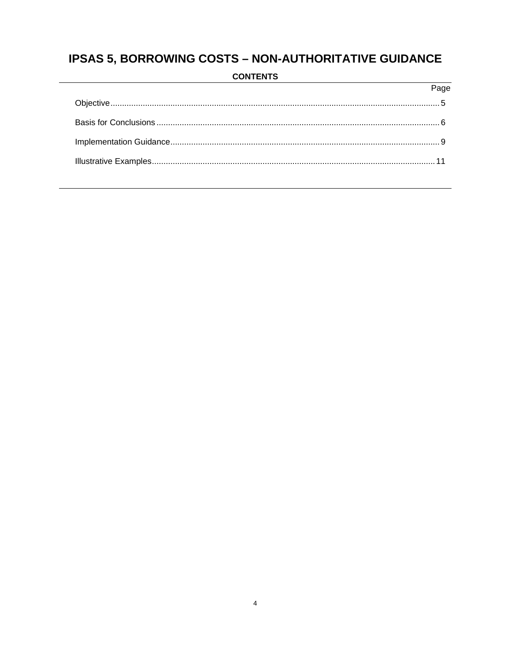# **IPSAS 5, BORROWING COSTS - NON-AUTHORITATIVE GUIDANCE**

| $P$ ane |
|---------|
|         |
|         |
|         |
|         |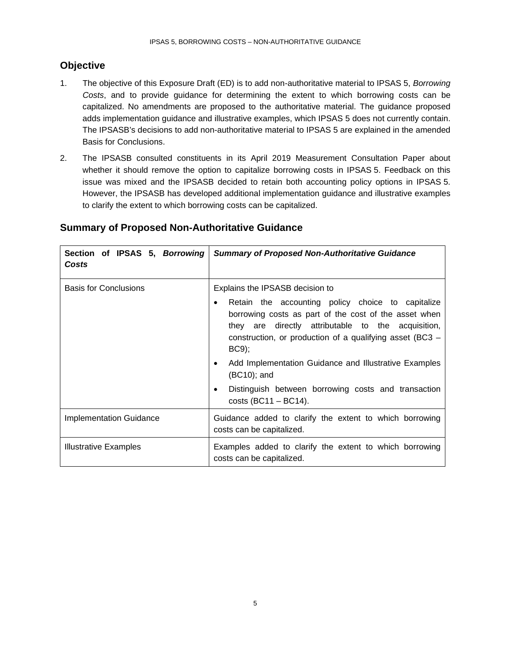# <span id="page-4-0"></span>**Objective**

- 1. The objective of this Exposure Draft (ED) is to add non-authoritative material to IPSAS 5, *Borrowing Costs*, and to provide guidance for determining the extent to which borrowing costs can be capitalized. No amendments are proposed to the authoritative material. The guidance proposed adds implementation guidance and illustrative examples, which IPSAS 5 does not currently contain. The IPSASB's decisions to add non-authoritative material to IPSAS 5 are explained in the amended Basis for Conclusions.
- 2. The IPSASB consulted constituents in its April 2019 Measurement Consultation Paper about whether it should remove the option to capitalize borrowing costs in IPSAS 5. Feedback on this issue was mixed and the IPSASB decided to retain both accounting policy options in IPSAS 5. However, the IPSASB has developed additional implementation guidance and illustrative examples to clarify the extent to which borrowing costs can be capitalized.

| Section of IPSAS 5, Borrowing<br>Costs | <b>Summary of Proposed Non-Authoritative Guidance</b>                                                                                                                                                                                                                                   |  |  |  |
|----------------------------------------|-----------------------------------------------------------------------------------------------------------------------------------------------------------------------------------------------------------------------------------------------------------------------------------------|--|--|--|
| <b>Basis for Conclusions</b>           | Explains the IPSASB decision to<br>Retain the accounting policy choice to capitalize<br>$\bullet$<br>borrowing costs as part of the cost of the asset when<br>they are directly attributable to the acquisition,<br>construction, or production of a qualifying asset (BC3 –<br>$BC9$ ; |  |  |  |
|                                        | Add Implementation Guidance and Illustrative Examples<br>٠<br>(BC10); and                                                                                                                                                                                                               |  |  |  |
|                                        | Distinguish between borrowing costs and transaction<br>٠<br>costs $(BC11 - BC14)$ .                                                                                                                                                                                                     |  |  |  |
| <b>Implementation Guidance</b>         | Guidance added to clarify the extent to which borrowing<br>costs can be capitalized.                                                                                                                                                                                                    |  |  |  |
| <b>Illustrative Examples</b>           | Examples added to clarify the extent to which borrowing<br>costs can be capitalized.                                                                                                                                                                                                    |  |  |  |

# **Summary of Proposed Non-Authoritative Guidance**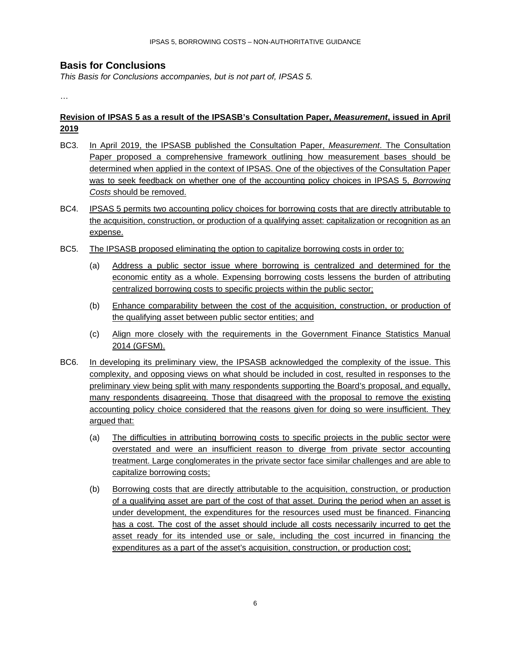# <span id="page-5-0"></span>**Basis for Conclusions**

*This Basis for Conclusions accompanies, but is not part of, IPSAS 5.*

…

# **Revision of IPSAS 5 as a result of the IPSASB's Consultation Paper,** *Measurement***, issued in April 2019**

- BC3. In April 2019, the IPSASB published the Consultation Paper, *Measurement*. The Consultation Paper proposed a comprehensive framework outlining how measurement bases should be determined when applied in the context of IPSAS. One of the objectives of the Consultation Paper was to seek feedback on whether one of the accounting policy choices in IPSAS 5, *Borrowing Costs* should be removed.
- BC4. IPSAS 5 permits two accounting policy choices for borrowing costs that are directly attributable to the acquisition, construction, or production of a qualifying asset: capitalization or recognition as an expense.
- BC5. The IPSASB proposed eliminating the option to capitalize borrowing costs in order to:
	- (a) Address a public sector issue where borrowing is centralized and determined for the economic entity as a whole. Expensing borrowing costs lessens the burden of attributing centralized borrowing costs to specific projects within the public sector;
	- (b) Enhance comparability between the cost of the acquisition, construction, or production of the qualifying asset between public sector entities; and
	- (c) Align more closely with the requirements in the Government Finance Statistics Manual 2014 (GFSM).
- BC6. In developing its preliminary view, the IPSASB acknowledged the complexity of the issue. This complexity, and opposing views on what should be included in cost, resulted in responses to the preliminary view being split with many respondents supporting the Board's proposal, and equally, many respondents disagreeing. Those that disagreed with the proposal to remove the existing accounting policy choice considered that the reasons given for doing so were insufficient. They argued that:
	- (a) The difficulties in attributing borrowing costs to specific projects in the public sector were overstated and were an insufficient reason to diverge from private sector accounting treatment. Large conglomerates in the private sector face similar challenges and are able to capitalize borrowing costs;
	- (b) Borrowing costs that are directly attributable to the acquisition, construction, or production of a qualifying asset are part of the cost of that asset. During the period when an asset is under development, the expenditures for the resources used must be financed. Financing has a cost. The cost of the asset should include all costs necessarily incurred to get the asset ready for its intended use or sale, including the cost incurred in financing the expenditures as a part of the asset's acquisition, construction, or production cost;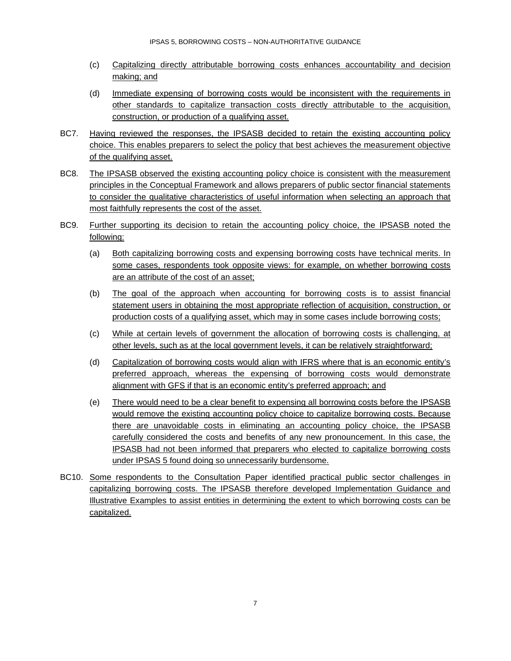- (c) Capitalizing directly attributable borrowing costs enhances accountability and decision making; and
- (d) Immediate expensing of borrowing costs would be inconsistent with the requirements in other standards to capitalize transaction costs directly attributable to the acquisition, construction, or production of a qualifying asset.
- BC7. Having reviewed the responses, the IPSASB decided to retain the existing accounting policy choice. This enables preparers to select the policy that best achieves the measurement objective of the qualifying asset.
- BC8. The IPSASB observed the existing accounting policy choice is consistent with the measurement principles in the Conceptual Framework and allows preparers of public sector financial statements to consider the qualitative characteristics of useful information when selecting an approach that most faithfully represents the cost of the asset.
- BC9. Further supporting its decision to retain the accounting policy choice, the IPSASB noted the following:
	- (a) Both capitalizing borrowing costs and expensing borrowing costs have technical merits. In some cases, respondents took opposite views: for example, on whether borrowing costs are an attribute of the cost of an asset;
	- (b) The goal of the approach when accounting for borrowing costs is to assist financial statement users in obtaining the most appropriate reflection of acquisition, construction, or production costs of a qualifying asset, which may in some cases include borrowing costs;
	- (c) While at certain levels of government the allocation of borrowing costs is challenging, at other levels, such as at the local government levels, it can be relatively straightforward;
	- (d) Capitalization of borrowing costs would align with IFRS where that is an economic entity's preferred approach, whereas the expensing of borrowing costs would demonstrate alignment with GFS if that is an economic entity's preferred approach; and
	- (e) There would need to be a clear benefit to expensing all borrowing costs before the IPSASB would remove the existing accounting policy choice to capitalize borrowing costs. Because there are unavoidable costs in eliminating an accounting policy choice, the IPSASB carefully considered the costs and benefits of any new pronouncement. In this case, the IPSASB had not been informed that preparers who elected to capitalize borrowing costs under IPSAS 5 found doing so unnecessarily burdensome.
- BC10. Some respondents to the Consultation Paper identified practical public sector challenges in capitalizing borrowing costs. The IPSASB therefore developed Implementation Guidance and Illustrative Examples to assist entities in determining the extent to which borrowing costs can be capitalized.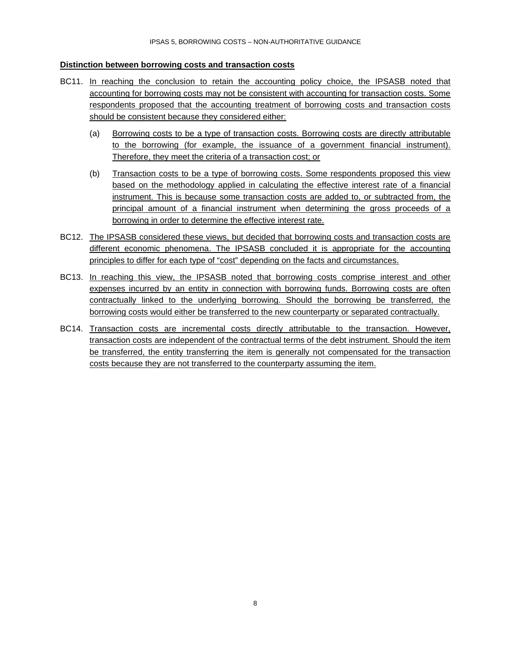#### **Distinction between borrowing costs and transaction costs**

- BC11. In reaching the conclusion to retain the accounting policy choice, the IPSASB noted that accounting for borrowing costs may not be consistent with accounting for transaction costs. Some respondents proposed that the accounting treatment of borrowing costs and transaction costs should be consistent because they considered either:
	- (a) Borrowing costs to be a type of transaction costs. Borrowing costs are directly attributable to the borrowing (for example, the issuance of a government financial instrument). Therefore, they meet the criteria of a transaction cost; or
	- (b) Transaction costs to be a type of borrowing costs. Some respondents proposed this view based on the methodology applied in calculating the effective interest rate of a financial instrument. This is because some transaction costs are added to, or subtracted from, the principal amount of a financial instrument when determining the gross proceeds of a borrowing in order to determine the effective interest rate.
- BC12. The IPSASB considered these views, but decided that borrowing costs and transaction costs are different economic phenomena. The IPSASB concluded it is appropriate for the accounting principles to differ for each type of "cost" depending on the facts and circumstances.
- BC13. In reaching this view, the IPSASB noted that borrowing costs comprise interest and other expenses incurred by an entity in connection with borrowing funds. Borrowing costs are often contractually linked to the underlying borrowing. Should the borrowing be transferred, the borrowing costs would either be transferred to the new counterparty or separated contractually.
- BC14. Transaction costs are incremental costs directly attributable to the transaction. However, transaction costs are independent of the contractual terms of the debt instrument. Should the item be transferred, the entity transferring the item is generally not compensated for the transaction costs because they are not transferred to the counterparty assuming the item.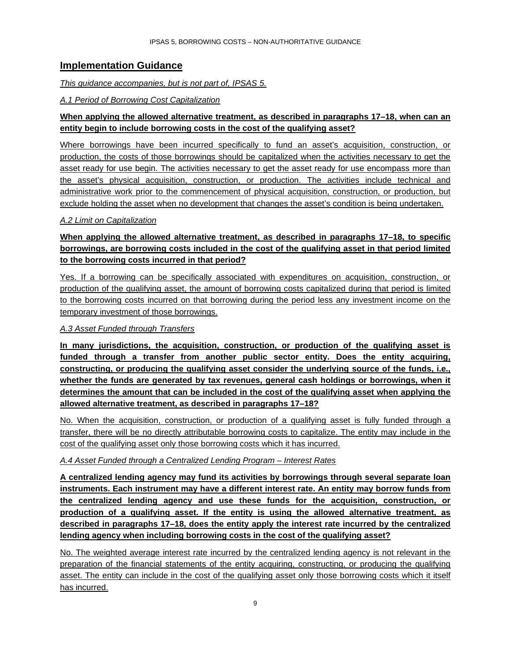# <span id="page-8-0"></span>**Implementation Guidance**

#### *This guidance accompanies, but is not part of, IPSAS 5.*

# *A.1 Period of Borrowing Cost Capitalization*

# **When applying the allowed alternative treatment, as described in paragraphs 17–18, when can an entity begin to include borrowing costs in the cost of the qualifying asset?**

Where borrowings have been incurred specifically to fund an asset's acquisition, construction, or production, the costs of those borrowings should be capitalized when the activities necessary to get the asset ready for use begin. The activities necessary to get the asset ready for use encompass more than the asset's physical acquisition, construction, or production. The activities include technical and administrative work prior to the commencement of physical acquisition, construction, or production, but exclude holding the asset when no development that changes the asset's condition is being undertaken.

# *A.2 Limit on Capitalization*

# **When applying the allowed alternative treatment, as described in paragraphs 17–18, to specific borrowings, are borrowing costs included in the cost of the qualifying asset in that period limited to the borrowing costs incurred in that period?**

Yes. If a borrowing can be specifically associated with expenditures on acquisition, construction, or production of the qualifying asset, the amount of borrowing costs capitalized during that period is limited to the borrowing costs incurred on that borrowing during the period less any investment income on the temporary investment of those borrowings.

# *A.3 Asset Funded through Transfers*

**In many jurisdictions, the acquisition, construction, or production of the qualifying asset is funded through a transfer from another public sector entity. Does the entity acquiring, constructing, or producing the qualifying asset consider the underlying source of the funds, i.e., whether the funds are generated by tax revenues, general cash holdings or borrowings, when it determines the amount that can be included in the cost of the qualifying asset when applying the allowed alternative treatment, as described in paragraphs 17–18?**

No. When the acquisition, construction, or production of a qualifying asset is fully funded through a transfer, there will be no directly attributable borrowing costs to capitalize. The entity may include in the cost of the qualifying asset only those borrowing costs which it has incurred.

# *A.4 Asset Funded through a Centralized Lending Program – Interest Rates*

**A centralized lending agency may fund its activities by borrowings through several separate loan instruments. Each instrument may have a different interest rate. An entity may borrow funds from the centralized lending agency and use these funds for the acquisition, construction, or production of a qualifying asset. If the entity is using the allowed alternative treatment, as described in paragraphs 17–18, does the entity apply the interest rate incurred by the centralized lending agency when including borrowing costs in the cost of the qualifying asset?**

No. The weighted average interest rate incurred by the centralized lending agency is not relevant in the preparation of the financial statements of the entity acquiring, constructing, or producing the qualifying asset. The entity can include in the cost of the qualifying asset only those borrowing costs which it itself has incurred.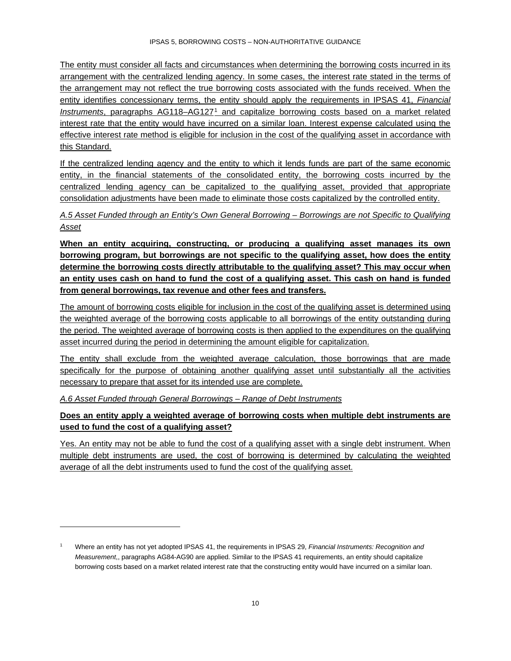The entity must consider all facts and circumstances when determining the borrowing costs incurred in its arrangement with the centralized lending agency. In some cases, the interest rate stated in the terms of the arrangement may not reflect the true borrowing costs associated with the funds received. When the entity identifies concessionary terms, the entity should apply the requirements in IPSAS 41, *Financial Instruments*, paragraphs AG118–AG127[1](#page-9-0) and capitalize borrowing costs based on a market related interest rate that the entity would have incurred on a similar loan. Interest expense calculated using the effective interest rate method is eligible for inclusion in the cost of the qualifying asset in accordance with this Standard.

If the centralized lending agency and the entity to which it lends funds are part of the same economic entity, in the financial statements of the consolidated entity, the borrowing costs incurred by the centralized lending agency can be capitalized to the qualifying asset, provided that appropriate consolidation adjustments have been made to eliminate those costs capitalized by the controlled entity.

*A.5 Asset Funded through an Entity's Own General Borrowing – Borrowings are not Specific to Qualifying Asset* 

**When an entity acquiring, constructing, or producing a qualifying asset manages its own borrowing program, but borrowings are not specific to the qualifying asset, how does the entity determine the borrowing costs directly attributable to the qualifying asset? This may occur when an entity uses cash on hand to fund the cost of a qualifying asset. This cash on hand is funded from general borrowings, tax revenue and other fees and transfers.** 

The amount of borrowing costs eligible for inclusion in the cost of the qualifying asset is determined using the weighted average of the borrowing costs applicable to all borrowings of the entity outstanding during the period. The weighted average of borrowing costs is then applied to the expenditures on the qualifying asset incurred during the period in determining the amount eligible for capitalization.

The entity shall exclude from the weighted average calculation, those borrowings that are made specifically for the purpose of obtaining another qualifying asset until substantially all the activities necessary to prepare that asset for its intended use are complete.

*A.6 Asset Funded through General Borrowings – Range of Debt Instruments*

# **Does an entity apply a weighted average of borrowing costs when multiple debt instruments are used to fund the cost of a qualifying asset?**

Yes. An entity may not be able to fund the cost of a qualifying asset with a single debt instrument. When multiple debt instruments are used, the cost of borrowing is determined by calculating the weighted average of all the debt instruments used to fund the cost of the qualifying asset.

<span id="page-9-0"></span><sup>1</sup> Where an entity has not yet adopted IPSAS 41, the requirements in IPSAS 29, *Financial Instruments: Recognition and Measurement*,, paragraphs AG84-AG90 are applied. Similar to the IPSAS 41 requirements, an entity should capitalize borrowing costs based on a market related interest rate that the constructing entity would have incurred on a similar loan.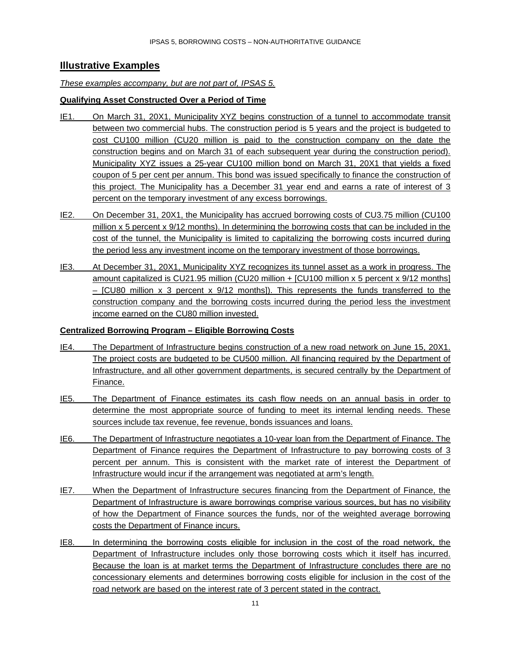# <span id="page-10-0"></span>**Illustrative Examples**

#### *These examples accompany, but are not part of, IPSAS 5.*

#### **Qualifying Asset Constructed Over a Period of Time**

- IE1. On March 31, 20X1, Municipality XYZ begins construction of a tunnel to accommodate transit between two commercial hubs. The construction period is 5 years and the project is budgeted to cost CU100 million (CU20 million is paid to the construction company on the date the construction begins and on March 31 of each subsequent year during the construction period). Municipality XYZ issues a 25-year CU100 million bond on March 31, 20X1 that yields a fixed coupon of 5 per cent per annum. This bond was issued specifically to finance the construction of this project. The Municipality has a December 31 year end and earns a rate of interest of 3 percent on the temporary investment of any excess borrowings.
- IE2. On December 31, 20X1, the Municipality has accrued borrowing costs of CU3.75 million (CU100 million x 5 percent x 9/12 months). In determining the borrowing costs that can be included in the cost of the tunnel, the Municipality is limited to capitalizing the borrowing costs incurred during the period less any investment income on the temporary investment of those borrowings.
- IE3. At December 31, 20X1, Municipality XYZ recognizes its tunnel asset as a work in progress. The amount capitalized is CU21.95 million (CU20 million + [CU100 million x 5 percent x 9/12 months] – [CU80 million x 3 percent x 9/12 months]). This represents the funds transferred to the construction company and the borrowing costs incurred during the period less the investment income earned on the CU80 million invested.

#### **Centralized Borrowing Program – Eligible Borrowing Costs**

- IE4. The Department of Infrastructure begins construction of a new road network on June 15, 20X1. The project costs are budgeted to be CU500 million. All financing required by the Department of Infrastructure, and all other government departments, is secured centrally by the Department of Finance.
- IE5. The Department of Finance estimates its cash flow needs on an annual basis in order to determine the most appropriate source of funding to meet its internal lending needs. These sources include tax revenue, fee revenue, bonds issuances and loans.
- IE6. The Department of Infrastructure negotiates a 10-year loan from the Department of Finance. The Department of Finance requires the Department of Infrastructure to pay borrowing costs of 3 percent per annum. This is consistent with the market rate of interest the Department of Infrastructure would incur if the arrangement was negotiated at arm's length.
- IE7. When the Department of Infrastructure secures financing from the Department of Finance, the Department of Infrastructure is aware borrowings comprise various sources, but has no visibility of how the Department of Finance sources the funds, nor of the weighted average borrowing costs the Department of Finance incurs.
- IE8. In determining the borrowing costs eligible for inclusion in the cost of the road network, the Department of Infrastructure includes only those borrowing costs which it itself has incurred. Because the loan is at market terms the Department of Infrastructure concludes there are no concessionary elements and determines borrowing costs eligible for inclusion in the cost of the road network are based on the interest rate of 3 percent stated in the contract.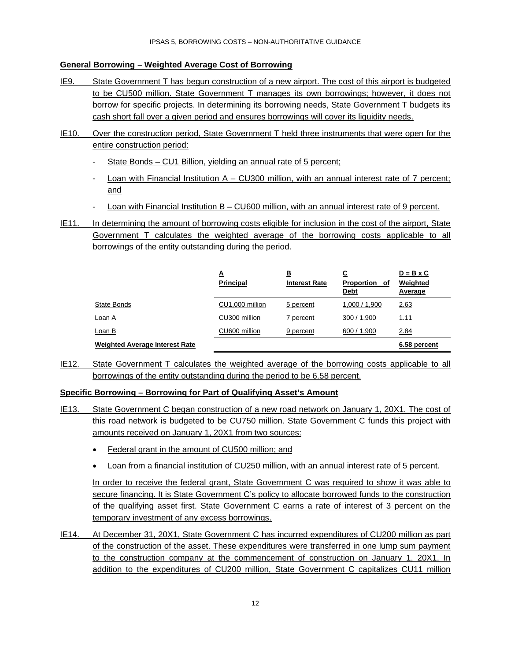# **General Borrowing – Weighted Average Cost of Borrowing**

- IE9. State Government T has begun construction of a new airport. The cost of this airport is budgeted to be CU500 million. State Government T manages its own borrowings; however, it does not borrow for specific projects. In determining its borrowing needs, State Government T budgets its cash short fall over a given period and ensures borrowings will cover its liquidity needs.
- IE10. Over the construction period, State Government T held three instruments that were open for the entire construction period:
	- State Bonds CU1 Billion, yielding an annual rate of 5 percent;
	- Loan with Financial Institution  $A CU300$  million, with an annual interest rate of 7 percent; and
	- Loan with Financial Institution B CU600 million, with an annual interest rate of 9 percent.
- IE11. In determining the amount of borrowing costs eligible for inclusion in the cost of the airport, State Government T calculates the weighted average of the borrowing costs applicable to all borrowings of the entity outstanding during the period.

|                                       | ≜<br><b>Principal</b> | 旦<br><b>Interest Rate</b> | <u>c</u><br>Proportion of<br><b>Debt</b> | $D = B \times C$<br>Weighted<br>Average |
|---------------------------------------|-----------------------|---------------------------|------------------------------------------|-----------------------------------------|
| State Bonds                           | CU1,000 million       | 5 percent                 | 1,000 / 1,900                            | 2.63                                    |
| Loan A                                | CU300 million         | 7 percent                 | 300 / 1,900                              | <u>1.11</u>                             |
| Loan B                                | CU600 million         | 9 percent                 | 600 / 1,900                              | 2.84                                    |
| <b>Weighted Average Interest Rate</b> |                       |                           |                                          | 6.58 percent                            |

IE12. State Government T calculates the weighted average of the borrowing costs applicable to all borrowings of the entity outstanding during the period to be 6.58 percent.

# **Specific Borrowing – Borrowing for Part of Qualifying Asset's Amount**

- IE13. State Government C began construction of a new road network on January 1, 20X1. The cost of this road network is budgeted to be CU750 million. State Government C funds this project with amounts received on January 1, 20X1 from two sources:
	- Federal grant in the amount of CU500 million; and
	- Loan from a financial institution of CU250 million, with an annual interest rate of 5 percent.

In order to receive the federal grant, State Government C was required to show it was able to secure financing. It is State Government C's policy to allocate borrowed funds to the construction of the qualifying asset first. State Government C earns a rate of interest of 3 percent on the temporary investment of any excess borrowings.

IE14. At December 31, 20X1, State Government C has incurred expenditures of CU200 million as part of the construction of the asset. These expenditures were transferred in one lump sum payment to the construction company at the commencement of construction on January 1, 20X1. In addition to the expenditures of CU200 million, State Government C capitalizes CU11 million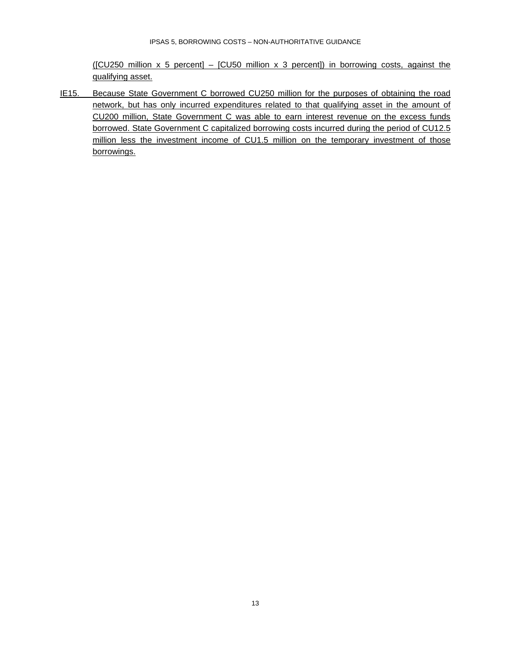$(ICU250$  million x 5 percent] –  $ICU50$  million x 3 percent]) in borrowing costs, against the qualifying asset.

IE15. Because State Government C borrowed CU250 million for the purposes of obtaining the road network, but has only incurred expenditures related to that qualifying asset in the amount of CU200 million, State Government C was able to earn interest revenue on the excess funds borrowed. State Government C capitalized borrowing costs incurred during the period of CU12.5 million less the investment income of CU1.5 million on the temporary investment of those borrowings.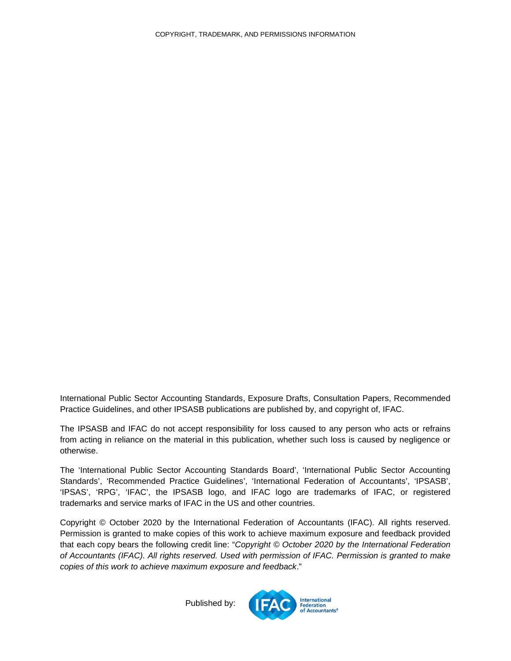<span id="page-13-0"></span>International Public Sector Accounting Standards, Exposure Drafts, Consultation Papers, Recommended Practice Guidelines, and other IPSASB publications are published by, and copyright of, IFAC.

The IPSASB and IFAC do not accept responsibility for loss caused to any person who acts or refrains from acting in reliance on the material in this publication, whether such loss is caused by negligence or otherwise.

The 'International Public Sector Accounting Standards Board', 'International Public Sector Accounting Standards', 'Recommended Practice Guidelines', 'International Federation of Accountants', 'IPSASB', 'IPSAS', 'RPG', 'IFAC', the IPSASB logo, and IFAC logo are trademarks of IFAC, or registered trademarks and service marks of IFAC in the US and other countries.

Copyright © October 2020 by the International Federation of Accountants (IFAC). All rights reserved. Permission is granted to make copies of this work to achieve maximum exposure and feedback provided that each copy bears the following credit line: "*Copyright © October 2020 by the International Federation of Accountants (IFAC). All rights reserved. Used with permission of IFAC. Permission is granted to make copies of this work to achieve maximum exposure and feedback*."

Published by: